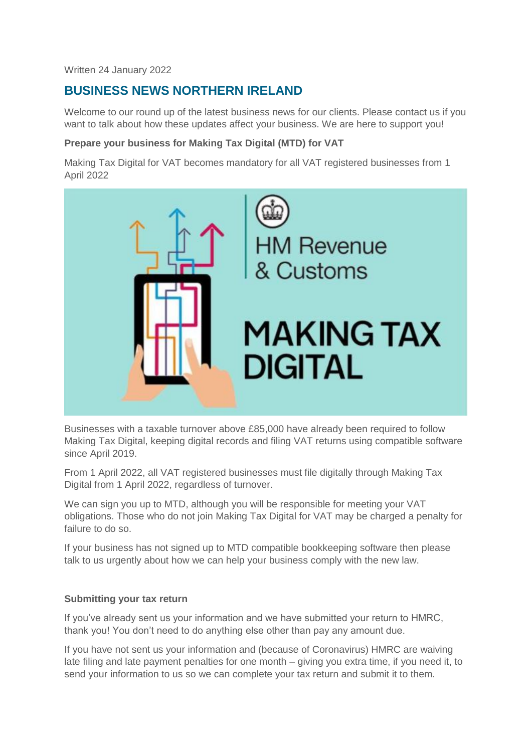Written 24 January 2022

# **BUSINESS NEWS NORTHERN IRELAND**

Welcome to our round up of the latest business news for our clients. Please contact us if you want to talk about how these updates affect your business. We are here to support you!

# **Prepare your business for Making Tax Digital (MTD) for VAT**

Making Tax Digital for VAT becomes mandatory for all VAT registered businesses from 1 April 2022



Businesses with a taxable turnover above £85,000 have already been required to follow Making Tax Digital, keeping digital records and filing VAT returns using compatible software since April 2019.

From 1 April 2022, all VAT registered businesses must file digitally through Making Tax Digital from 1 April 2022, regardless of turnover.

We can sign you up to MTD, although you will be responsible for meeting your VAT obligations. Those who do not join Making Tax Digital for VAT may be charged a penalty for failure to do so.

If your business has not signed up to MTD compatible bookkeeping software then please talk to us urgently about how we can help your business comply with the new law.

### **Submitting your tax return**

If you've already sent us your information and we have submitted your return to HMRC, thank you! You don't need to do anything else other than pay any amount due.

If you have not sent us your information and (because of Coronavirus) HMRC are waiving late filing and late payment penalties for one month – giving you extra time, if you need it, to send your information to us so we can complete your tax return and submit it to them.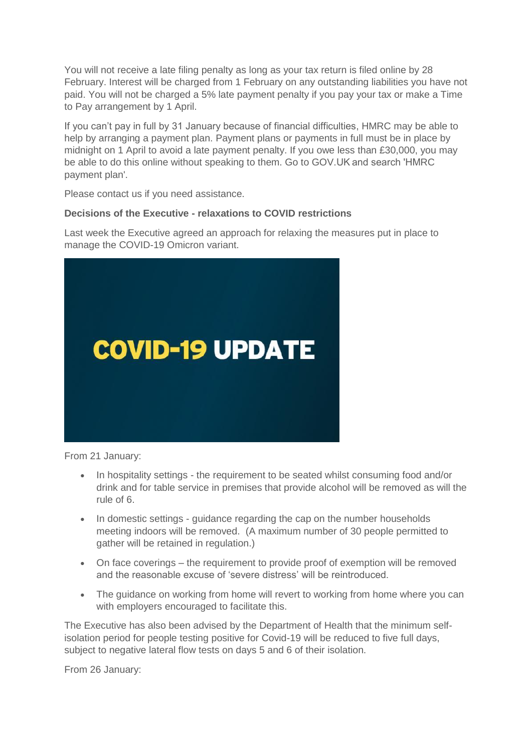You will not receive a late filing penalty as long as your tax return is filed online by 28 February. Interest will be charged from 1 February on any outstanding liabilities you have not paid. You will not be charged a 5% late payment penalty if you pay your tax or make a Time to Pay arrangement by 1 April.

If you can't pay in full by 31 January because of financial difficulties, HMRC may be able to help by arranging a payment plan. Payment plans or payments in full must be in place by midnight on 1 April to avoid a late payment penalty. If you owe less than £30,000, you may be able to do this online without speaking to them. Go to GOV.UK and search 'HMRC payment plan'.

Please contact us if you need assistance.

## **Decisions of the Executive - relaxations to COVID restrictions**

Last week the Executive agreed an approach for relaxing the measures put in place to manage the COVID-19 Omicron variant.



From 21 January:

- In hospitality settings the requirement to be seated whilst consuming food and/or drink and for table service in premises that provide alcohol will be removed as will the rule of 6.
- In domestic settings guidance regarding the cap on the number households meeting indoors will be removed. (A maximum number of 30 people permitted to gather will be retained in regulation.)
- On face coverings the requirement to provide proof of exemption will be removed and the reasonable excuse of 'severe distress' will be reintroduced.
- The quidance on working from home will revert to working from home where you can with employers encouraged to facilitate this.

The Executive has also been advised by the Department of Health that the minimum selfisolation period for people testing positive for Covid-19 will be reduced to five full days, subject to negative lateral flow tests on days 5 and 6 of their isolation.

From 26 January: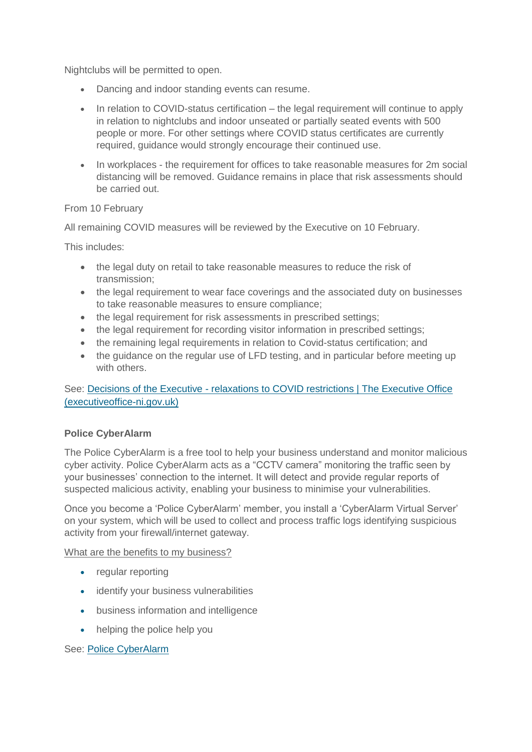Nightclubs will be permitted to open.

- Dancing and indoor standing events can resume.
- In relation to COVID-status certification the legal requirement will continue to apply in relation to nightclubs and indoor unseated or partially seated events with 500 people or more. For other settings where COVID status certificates are currently required, guidance would strongly encourage their continued use.
- In workplaces the requirement for offices to take reasonable measures for 2m social distancing will be removed. Guidance remains in place that risk assessments should be carried out.

From 10 February

All remaining COVID measures will be reviewed by the Executive on 10 February.

This includes:

- the legal duty on retail to take reasonable measures to reduce the risk of transmission;
- the legal requirement to wear face coverings and the associated duty on businesses to take reasonable measures to ensure compliance;
- the legal requirement for risk assessments in prescribed settings;
- the legal requirement for recording visitor information in prescribed settings;
- the remaining legal requirements in relation to Covid-status certification; and
- the guidance on the regular use of LFD testing, and in particular before meeting up with others.

See: Decisions of the Executive - [relaxations to COVID restrictions | The Executive Office](http://www.executiveoffice-ni.gov.uk/news/decisions-executive-relaxations-covid-restrictions)  [\(executiveoffice-ni.gov.uk\)](http://www.executiveoffice-ni.gov.uk/news/decisions-executive-relaxations-covid-restrictions)

# **Police CyberAlarm**

The Police CyberAlarm is a free tool to help your business understand and monitor malicious cyber activity. Police CyberAlarm acts as a "CCTV camera" monitoring the traffic seen by your businesses' connection to the internet. It will detect and provide regular reports of suspected malicious activity, enabling your business to minimise your vulnerabilities.

Once you become a 'Police CyberAlarm' member, you install a 'CyberAlarm Virtual Server' on your system, which will be used to collect and process traffic logs identifying suspicious activity from your firewall/internet gateway.

What are the benefits to my business?

- regular reporting
- identify your business vulnerabilities
- business information and intelligence
- helping the police help you

See: [Police CyberAlarm](https://cyberalarm.police.uk/)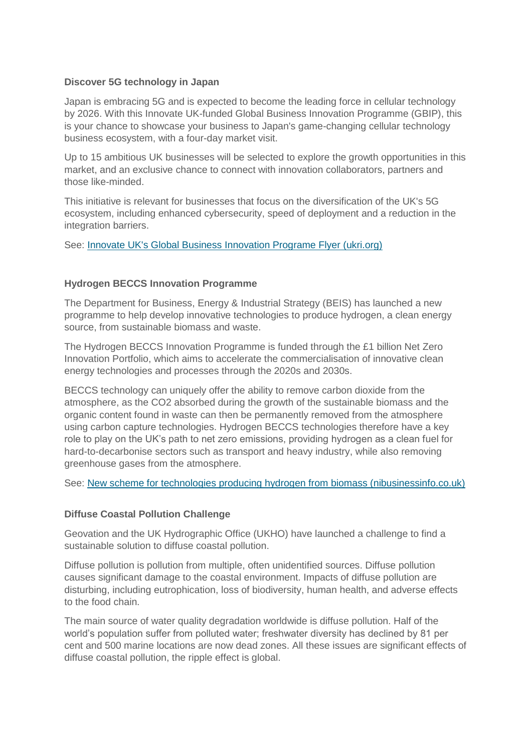#### **Discover 5G technology in Japan**

Japan is embracing 5G and is expected to become the leading force in cellular technology by 2026. With this Innovate UK-funded Global Business Innovation Programme (GBIP), this is your chance to showcase your business to Japan's game-changing cellular technology business ecosystem, with a four-day market visit.

Up to 15 ambitious UK businesses will be selected to explore the growth opportunities in this market, and an exclusive chance to connect with innovation collaborators, partners and those like-minded.

This initiative is relevant for businesses that focus on the diversification of the UK's 5G ecosystem, including enhanced cybersecurity, speed of deployment and a reduction in the integration barriers.

See: [Innovate UK's Global Business Innovation Programe Flyer \(ukri.org\)](https://www.innovateukedge.ukri.org/static/2022-01/Japan%20%205G%20Technology-%20Flyer.pdf?VersionId=fsY_3NGJ8XF8mWSIFB_wq8pOxFinp8LL)

### **Hydrogen BECCS Innovation Programme**

The Department for Business, Energy & Industrial Strategy (BEIS) has launched a new programme to help develop innovative technologies to produce hydrogen, a clean energy source, from sustainable biomass and waste.

The Hydrogen BECCS Innovation Programme is funded through the £1 billion Net Zero Innovation Portfolio, which aims to accelerate the commercialisation of innovative clean energy technologies and processes through the 2020s and 2030s.

BECCS technology can uniquely offer the ability to remove carbon dioxide from the atmosphere, as the CO2 absorbed during the growth of the sustainable biomass and the organic content found in waste can then be permanently removed from the atmosphere using carbon capture technologies. Hydrogen BECCS technologies therefore have a key role to play on the UK's path to net zero emissions, providing hydrogen as a clean fuel for hard-to-decarbonise sectors such as transport and heavy industry, while also removing greenhouse gases from the atmosphere.

See: [New scheme for technologies producing hydrogen from biomass \(nibusinessinfo.co.uk\)](https://www.nibusinessinfo.co.uk/content/new-scheme-technologies-producing-hydrogen-biomass)

### **Diffuse Coastal Pollution Challenge**

Geovation and the UK Hydrographic Office (UKHO) have launched a challenge to find a sustainable solution to diffuse coastal pollution.

Diffuse pollution is pollution from multiple, often unidentified sources. Diffuse pollution causes significant damage to the coastal environment. Impacts of diffuse pollution are disturbing, including eutrophication, loss of biodiversity, human health, and adverse effects to the food chain.

The main source of water quality degradation worldwide is diffuse pollution. Half of the world's population suffer from polluted water; freshwater diversity has declined by 81 per cent and 500 marine locations are now dead zones. All these issues are significant effects of diffuse coastal pollution, the ripple effect is global.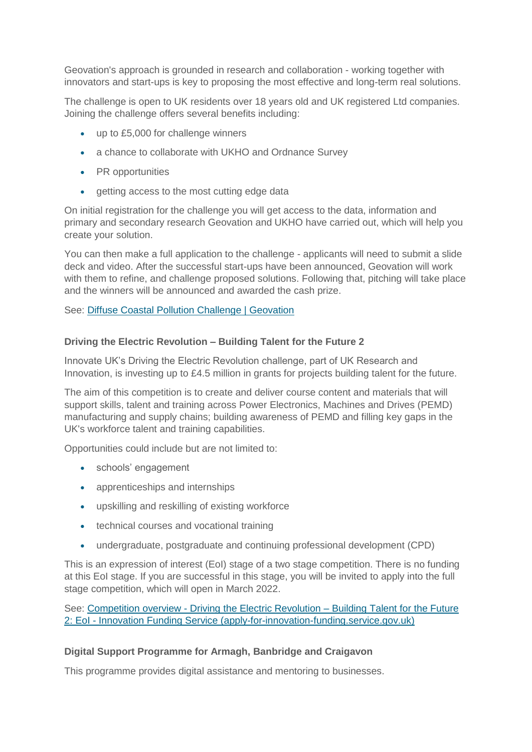Geovation's approach is grounded in research and collaboration - working together with innovators and start-ups is key to proposing the most effective and long-term real solutions.

The challenge is open to UK residents over 18 years old and UK registered Ltd companies. Joining the challenge offers several benefits including:

- up to £5,000 for challenge winners
- a chance to collaborate with UKHO and Ordnance Survey
- PR opportunities
- getting access to the most cutting edge data

On initial registration for the challenge you will get access to the data, information and primary and secondary research Geovation and UKHO have carried out, which will help you create your solution.

You can then make a full application to the challenge - applicants will need to submit a slide deck and video. After the successful start-ups have been announced, Geovation will work with them to refine, and challenge proposed solutions. Following that, pitching will take place and the winners will be announced and awarded the cash prize.

See: [Diffuse Coastal Pollution Challenge | Geovation](https://geovation.uk/diffuse-coastal-pollution-challenge/)

## **Driving the Electric Revolution – Building Talent for the Future 2**

Innovate UK's Driving the Electric Revolution challenge, part of UK Research and Innovation, is investing up to £4.5 million in grants for projects building talent for the future.

The aim of this competition is to create and deliver course content and materials that will support skills, talent and training across Power Electronics, Machines and Drives (PEMD) manufacturing and supply chains; building awareness of PEMD and filling key gaps in the UK's workforce talent and training capabilities.

Opportunities could include but are not limited to:

- schools' engagement
- apprenticeships and internships
- upskilling and reskilling of existing workforce
- technical courses and vocational training
- undergraduate, postgraduate and continuing professional development (CPD)

This is an expression of interest (EoI) stage of a two stage competition. There is no funding at this EoI stage. If you are successful in this stage, you will be invited to apply into the full stage competition, which will open in March 2022.

See: Competition overview - [Driving the Electric Revolution –](https://apply-for-innovation-funding.service.gov.uk/competition/1088/overview) Building Talent for the Future 2: EoI - [Innovation Funding Service \(apply-for-innovation-funding.service.gov.uk\)](https://apply-for-innovation-funding.service.gov.uk/competition/1088/overview)

# **Digital Support Programme for Armagh, Banbridge and Craigavon**

This programme provides digital assistance and mentoring to businesses.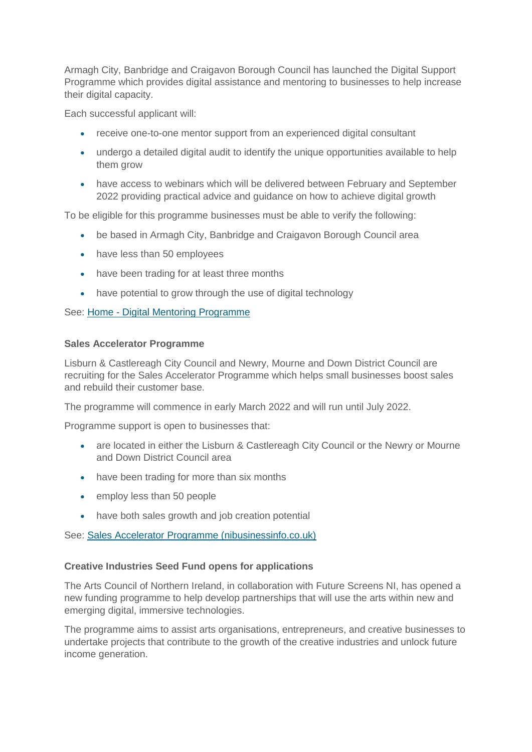Armagh City, Banbridge and Craigavon Borough Council has launched the Digital Support Programme which provides digital assistance and mentoring to businesses to help increase their digital capacity.

Each successful applicant will:

- receive one-to-one mentor support from an experienced digital consultant
- undergo a detailed digital audit to identify the unique opportunities available to help them grow
- have access to webinars which will be delivered between February and September 2022 providing practical advice and guidance on how to achieve digital growth

To be eligible for this programme businesses must be able to verify the following:

- be based in Armagh City, Banbridge and Craigavon Borough Council area
- have less than 50 employees
- have been trading for at least three months
- have potential to grow through the use of digital technology

See: Home - [Digital Mentoring Programme](https://digitalmentoringprogramme.com/)

#### **Sales Accelerator Programme**

Lisburn & Castlereagh City Council and Newry, Mourne and Down District Council are recruiting for the Sales Accelerator Programme which helps small businesses boost sales and rebuild their customer base.

The programme will commence in early March 2022 and will run until July 2022.

Programme support is open to businesses that:

- are located in either the Lisburn & Castlereagh City Council or the Newry or Mourne and Down District Council area
- have been trading for more than six months
- employ less than 50 people
- have both sales growth and job creation potential

See: [Sales Accelerator Programme \(nibusinessinfo.co.uk\)](https://www.nibusinessinfo.co.uk/content/sales-accelerator-programme)

### **Creative Industries Seed Fund opens for applications**

The Arts Council of Northern Ireland, in collaboration with Future Screens NI, has opened a new funding programme to help develop partnerships that will use the arts within new and emerging digital, immersive technologies.

The programme aims to assist arts organisations, entrepreneurs, and creative businesses to undertake projects that contribute to the growth of the creative industries and unlock future income generation.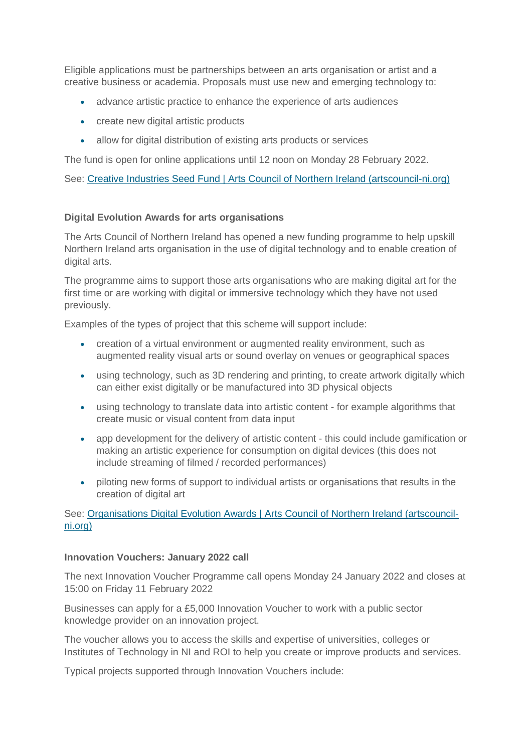Eligible applications must be partnerships between an arts organisation or artist and a creative business or academia. Proposals must use new and emerging technology to:

- advance artistic practice to enhance the experience of arts audiences
- create new digital artistic products
- allow for digital distribution of existing arts products or services

The fund is open for online applications until 12 noon on Monday 28 February 2022.

See: Creative Industries Seed Fund | [Arts Council of Northern Ireland \(artscouncil-ni.org\)](http://artscouncil-ni.org/funding/scheme/creative-industries-seed-fund-2022)

### **Digital Evolution Awards for arts organisations**

The Arts Council of Northern Ireland has opened a new funding programme to help upskill Northern Ireland arts organisation in the use of digital technology and to enable creation of digital arts.

The programme aims to support those arts organisations who are making digital art for the first time or are working with digital or immersive technology which they have not used previously.

Examples of the types of project that this scheme will support include:

- creation of a virtual environment or augmented reality environment, such as augmented reality visual arts or sound overlay on venues or geographical spaces
- using technology, such as 3D rendering and printing, to create artwork digitally which can either exist digitally or be manufactured into 3D physical objects
- using technology to translate data into artistic content for example algorithms that create music or visual content from data input
- app development for the delivery of artistic content this could include gamification or making an artistic experience for consumption on digital devices (this does not include streaming of filmed / recorded performances)
- piloting new forms of support to individual artists or organisations that results in the creation of digital art

## See: Organisations Digital Evolution Awards | [Arts Council of Northern Ireland \(artscouncil](http://artscouncil-ni.org/funding/scheme/organisations-digital-evolution-awards)[ni.org\)](http://artscouncil-ni.org/funding/scheme/organisations-digital-evolution-awards)

### **Innovation Vouchers: January 2022 call**

The next Innovation Voucher Programme call opens Monday 24 January 2022 and closes at 15:00 on Friday 11 February 2022

Businesses can apply for a £5,000 Innovation Voucher to work with a public sector knowledge provider on an innovation project.

The voucher allows you to access the skills and expertise of universities, colleges or Institutes of Technology in NI and ROI to help you create or improve products and services.

Typical projects supported through Innovation Vouchers include: